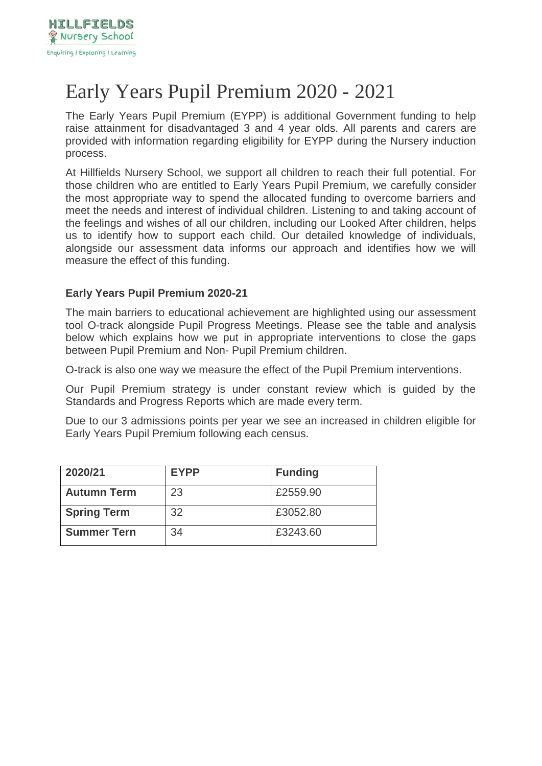

# Early Years Pupil Premium 2020 - 2021

The Early Years Pupil Premium (EYPP) is additional Government funding to help raise attainment for disadvantaged 3 and 4 year olds. All parents and carers are provided with information regarding eligibility for EYPP during the Nursery induction process.

At Hillfields Nursery School, we support all children to reach their full potential. For those children who are entitled to Early Years Pupil Premium, we carefully consider the most appropriate way to spend the allocated funding to overcome barriers and meet the needs and interest of individual children. Listening to and taking account of the feelings and wishes of all our children, including our Looked After children, helps us to identify how to support each child. Our detailed knowledge of individuals, alongside our assessment data informs our approach and identifies how we will measure the effect of this funding.

# **Early Years Pupil Premium 2020-21**

The main barriers to educational achievement are highlighted using our assessment tool O-track alongside Pupil Progress Meetings. Please see the table and analysis below which explains how we put in appropriate interventions to close the gaps between Pupil Premium and Non- Pupil Premium children.

O-track is also one way we measure the effect of the Pupil Premium interventions.

Our Pupil Premium strategy is under constant review which is guided by the Standards and Progress Reports which are made every term.

Due to our 3 admissions points per year we see an increased in children eligible for Early Years Pupil Premium following each census.

| 2020/21            | <b>EYPP</b> | <b>Funding</b> |
|--------------------|-------------|----------------|
| <b>Autumn Term</b> | 23          | £2559.90       |
| <b>Spring Term</b> | 32          | £3052.80       |
| <b>Summer Tern</b> | 34          | £3243.60       |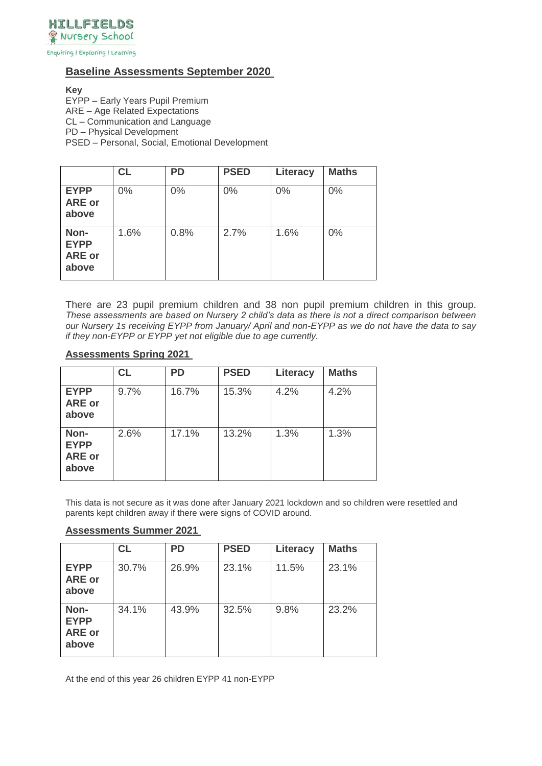

Enquiring | Exploring | Learning

# **Baseline Assessments September 2020**

**Key** 

EYPP – Early Years Pupil Premium ARE – Age Related Expectations CL – Communication and Language PD – Physical Development PSED – Personal, Social, Emotional Development

|                                               | <b>CL</b> | <b>PD</b> | <b>PSED</b> | Literacy | <b>Maths</b> |
|-----------------------------------------------|-----------|-----------|-------------|----------|--------------|
| <b>EYPP</b><br><b>ARE or</b><br>above         | $0\%$     | $0\%$     | 0%          | 0%       | 0%           |
| Non-<br><b>EYPP</b><br><b>ARE or</b><br>above | 1.6%      | 0.8%      | 2.7%        | 1.6%     | 0%           |

There are 23 pupil premium children and 38 non pupil premium children in this group. *These assessments are based on Nursery 2 child's data as there is not a direct comparison between our Nursery 1s receiving EYPP from January/ April and non-EYPP as we do not have the data to say if they non-EYPP or EYPP yet not eligible due to age currently.*

#### **Assessments Spring 2021**

|                                               | <b>CL</b> | <b>PD</b> | <b>PSED</b> | Literacy | <b>Maths</b> |
|-----------------------------------------------|-----------|-----------|-------------|----------|--------------|
| <b>EYPP</b><br><b>ARE or</b><br>above         | 9.7%      | 16.7%     | 15.3%       | 4.2%     | 4.2%         |
| Non-<br><b>EYPP</b><br><b>ARE or</b><br>above | 2.6%      | 17.1%     | 13.2%       | 1.3%     | 1.3%         |

This data is not secure as it was done after January 2021 lockdown and so children were resettled and parents kept children away if there were signs of COVID around.

#### **Assessments Summer 2021**

|                                               | <b>CL</b> | <b>PD</b> | <b>PSED</b> | Literacy | <b>Maths</b> |
|-----------------------------------------------|-----------|-----------|-------------|----------|--------------|
| <b>EYPP</b><br><b>ARE or</b><br>above         | 30.7%     | 26.9%     | 23.1%       | 11.5%    | 23.1%        |
| Non-<br><b>EYPP</b><br><b>ARE or</b><br>above | 34.1%     | 43.9%     | 32.5%       | 9.8%     | 23.2%        |

At the end of this year 26 children EYPP 41 non-EYPP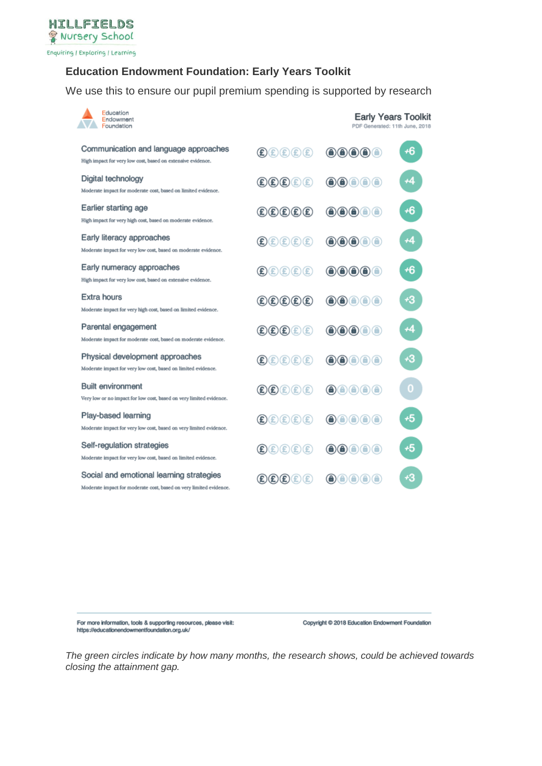

# **Education Endowment Foundation: Early Years Toolkit**

We use this to ensure our pupil premium spending is supported by research

| Education<br>Endowment<br>Foundation                                                                           |                                                                                                                         | <b>Early Years Toolkit</b><br>PDF Generated: 11th June, 2018                                                                                                                                                                                                                                                                                                                                                                                                |             |
|----------------------------------------------------------------------------------------------------------------|-------------------------------------------------------------------------------------------------------------------------|-------------------------------------------------------------------------------------------------------------------------------------------------------------------------------------------------------------------------------------------------------------------------------------------------------------------------------------------------------------------------------------------------------------------------------------------------------------|-------------|
| Communication and language approaches<br>High impact for very low cost, based on extensive evidence.           | $\textcircled{\texttt{f}}(\textcircled{\texttt{f}})(\textcircled{\texttt{f}})(\textcircled{\texttt{f}})$                | $\bigcirc\hspace{-0.75mm}\bigcirc\hspace{-0.75mm}\bigcirc\hspace{-0.75mm}\bigcirc\hspace{-0.75mm}\bigcirc\hspace{-0.75mm}\bigcirc\hspace{-0.75mm}\bigcirc\hspace{-0.75mm}\bigcirc\hspace{-0.75mm}\bigcirc\hspace{-0.75mm}\bigcirc\hspace{-0.75mm}\bigcirc\hspace{-0.75mm}\bigcirc\hspace{-0.75mm}\bigcirc\hspace{-0.75mm}\bigcirc\hspace{-0.75mm}\bigcirc\hspace{-0.75mm}\bigcirc\hspace{-0.75mm}\bigcirc\hspace{-0.75mm}\bigcirc\hspace{-0.75mm}\bigcirc\$ | +6          |
| Digital technology<br>Moderate impact for moderate cost, based on limited evidence.                            | $\textcircled{\texttt{f}}(\texttt{f})\textcircled{\texttt{f}}(\texttt{f})$                                              | $\bigcirc$ $\bigcirc$ $\bigcirc$<br>⋒                                                                                                                                                                                                                                                                                                                                                                                                                       | +4          |
| Earlier starting age<br>High impact for very high cost, based on moderate evidence.                            | $\mathbf{E}(\mathbf{E})\mathbf{E}(\mathbf{E})\mathbf{E}(\mathbf{E})$                                                    | $\bigcirc$ $\bigcirc$ $\bigcirc$ $\bigcirc$                                                                                                                                                                                                                                                                                                                                                                                                                 | +6          |
| Early literacy approaches<br>Moderate impact for very low cost, based on moderate evidence.                    | $\mathbf{E}(\mathbf{E})\mathbf{E}(\mathbf{E})\mathbf{E}(\mathbf{E})$                                                    | $\bigcirc$ $\bigcirc$ $\bigcirc$ $\bigcirc$                                                                                                                                                                                                                                                                                                                                                                                                                 | ۰4          |
| Early numeracy approaches<br>High impact for very low cost, based on extensive evidence.                       | $\textcircled{\texttt{f}}(\textcircled{\texttt{f}})(\textcircled{\texttt{f}})(\textcircled{\texttt{f}})$                | 00000                                                                                                                                                                                                                                                                                                                                                                                                                                                       | +6          |
| <b>Extra hours</b><br>Moderate impact for very high cost, based on limited evidence.                           | $\mathbf{E}(\mathbf{E})\mathbf{E}(\mathbf{E})\mathbf{E}(\mathbf{E})$                                                    | $\bigcirc$ $\bigcirc$ $\bigcirc$ $\bigcirc$                                                                                                                                                                                                                                                                                                                                                                                                                 | +3          |
| Parental engagement<br>Moderate impact for moderate cost, based on moderate evidence.                          | $\textcircled{\texttt{f}}(\texttt{f})\textcircled{\texttt{f}}(\texttt{f})$                                              | $\bigcirc$ $\bigcirc$ $\bigcirc$ $\bigcirc$                                                                                                                                                                                                                                                                                                                                                                                                                 | +4          |
| Physical development approaches<br>Moderate impact for very low cost, based on limited evidence.               | $\left(\mathbf{\hat{E}}\right)\mathbf{E}\left(\mathbf{\hat{E}}\right)\mathbf{E}\left(\mathbf{\hat{E}}\right)\mathbf{E}$ | $\bigcirc$ $\bigcirc$ $\bigcirc$ $\bigcirc$                                                                                                                                                                                                                                                                                                                                                                                                                 | +3          |
| <b>Built environment</b><br>Very low or no impact for low cost, based on very limited evidence.                | $\left(\mathbf{E}\right)\left(\mathbf{E}\right)\left(\mathbf{E}\right)\left(\mathbf{E}\right)\left(\mathbf{E}\right)$   | $\bigcirc$ $\bigcirc$ $\bigcirc$ $\bigcirc$ $\bigcirc$                                                                                                                                                                                                                                                                                                                                                                                                      | $\mathbf 0$ |
| Play-based learning<br>Moderate impact for very low cost, based on very limited evidence.                      | $\mathbf{E}(\mathbf{E})\mathbf{E}(\mathbf{E})\mathbf{E}(\mathbf{E})$                                                    |                                                                                                                                                                                                                                                                                                                                                                                                                                                             | +5          |
| Self-regulation strategies<br>Moderate impact for very low cost, based on limited evidence.                    | $\textcircled{\texttt{f}}(\textcircled{\texttt{f}})(\textcircled{\texttt{f}})(\textcircled{\texttt{f}})$                |                                                                                                                                                                                                                                                                                                                                                                                                                                                             | +5          |
| Social and emotional learning strategies<br>Moderate impact for moderate cost, based on very limited evidence. | $\textcircled{\texttt{f}}(\texttt{f})\textcircled{\texttt{f}}$<br>Œ                                                     | ∩<br>$\circ$<br>⊙<br>G<br>0                                                                                                                                                                                                                                                                                                                                                                                                                                 | ٠3          |

For more information, tools & supporting resources, please visit: https://educationendowmentfoundation.org.uk/

Copyright @ 2018 Education Endowment Foundation

*The green circles indicate by how many months, the research shows, could be achieved towards closing the attainment gap.*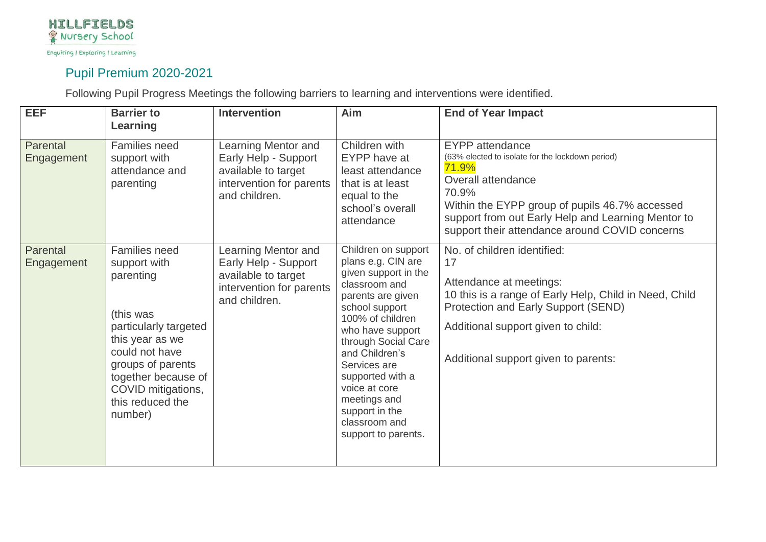

# Pupil Premium 2020-2021

Following Pupil Progress Meetings the following barriers to learning and interventions were identified.

| <b>EEF</b>             | <b>Barrier to</b><br>Learning                                                                                                                                                                                                 | <b>Intervention</b>                                                                                                    | Aim                                                                                                                                                                                                                                                                                                                                       | <b>End of Year Impact</b>                                                                                                                                                                                                                                                    |
|------------------------|-------------------------------------------------------------------------------------------------------------------------------------------------------------------------------------------------------------------------------|------------------------------------------------------------------------------------------------------------------------|-------------------------------------------------------------------------------------------------------------------------------------------------------------------------------------------------------------------------------------------------------------------------------------------------------------------------------------------|------------------------------------------------------------------------------------------------------------------------------------------------------------------------------------------------------------------------------------------------------------------------------|
| Parental<br>Engagement | <b>Families need</b><br>support with<br>attendance and<br>parenting                                                                                                                                                           | Learning Mentor and<br>Early Help - Support<br>available to target<br>intervention for parents<br>and children.        | Children with<br>EYPP have at<br>least attendance<br>that is at least<br>equal to the<br>school's overall<br>attendance                                                                                                                                                                                                                   | <b>EYPP</b> attendance<br>(63% elected to isolate for the lockdown period)<br>71.9%<br>Overall attendance<br>70.9%<br>Within the EYPP group of pupils 46.7% accessed<br>support from out Early Help and Learning Mentor to<br>support their attendance around COVID concerns |
| Parental<br>Engagement | <b>Families need</b><br>support with<br>parenting<br>(this was<br>particularly targeted<br>this year as we<br>could not have<br>groups of parents<br>together because of<br>COVID mitigations,<br>this reduced the<br>number) | <b>Learning Mentor and</b><br>Early Help - Support<br>available to target<br>intervention for parents<br>and children. | Children on support<br>plans e.g. CIN are<br>given support in the<br>classroom and<br>parents are given<br>school support<br>100% of children<br>who have support<br>through Social Care<br>and Children's<br>Services are<br>supported with a<br>voice at core<br>meetings and<br>support in the<br>classroom and<br>support to parents. | No. of children identified:<br>17<br>Attendance at meetings:<br>10 this is a range of Early Help, Child in Need, Child<br>Protection and Early Support (SEND)<br>Additional support given to child:<br>Additional support given to parents:                                  |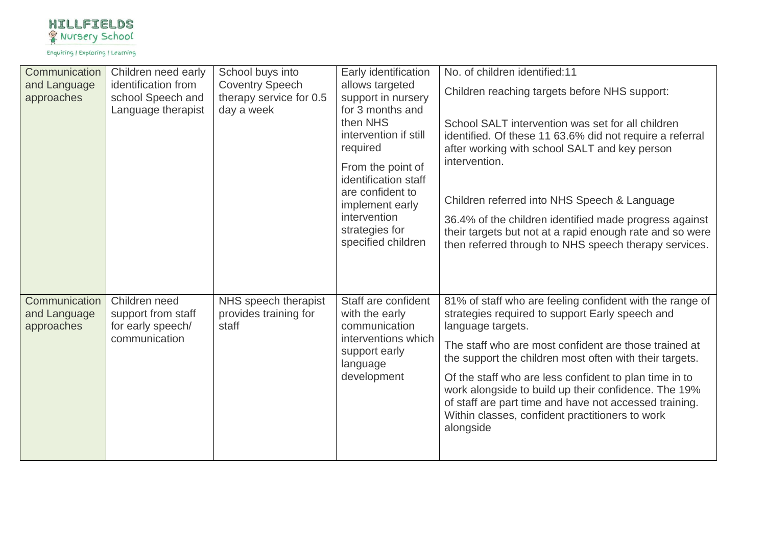

| Communication<br>and Language<br>approaches | Children need early<br>identification from<br>school Speech and<br>Language therapist | School buys into<br><b>Coventry Speech</b><br>therapy service for 0.5<br>day a week | Early identification<br>allows targeted<br>support in nursery<br>for 3 months and<br>then NHS<br>intervention if still<br>required<br>From the point of<br>identification staff<br>are confident to<br>implement early<br>intervention<br>strategies for<br>specified children | No. of children identified:11<br>Children reaching targets before NHS support:<br>School SALT intervention was set for all children<br>identified. Of these 11 63.6% did not require a referral<br>after working with school SALT and key person<br>intervention.<br>Children referred into NHS Speech & Language<br>36.4% of the children identified made progress against<br>their targets but not at a rapid enough rate and so were<br>then referred through to NHS speech therapy services. |
|---------------------------------------------|---------------------------------------------------------------------------------------|-------------------------------------------------------------------------------------|--------------------------------------------------------------------------------------------------------------------------------------------------------------------------------------------------------------------------------------------------------------------------------|--------------------------------------------------------------------------------------------------------------------------------------------------------------------------------------------------------------------------------------------------------------------------------------------------------------------------------------------------------------------------------------------------------------------------------------------------------------------------------------------------|
| Communication<br>and Language<br>approaches | Children need<br>support from staff<br>for early speech/<br>communication             | NHS speech therapist<br>provides training for<br>staff                              | Staff are confident<br>with the early<br>communication<br>interventions which<br>support early<br>language<br>development                                                                                                                                                      | 81% of staff who are feeling confident with the range of<br>strategies required to support Early speech and<br>language targets.<br>The staff who are most confident are those trained at<br>the support the children most often with their targets.<br>Of the staff who are less confident to plan time in to<br>work alongside to build up their confidence. The 19%<br>of staff are part time and have not accessed training.<br>Within classes, confident practitioners to work<br>alongside |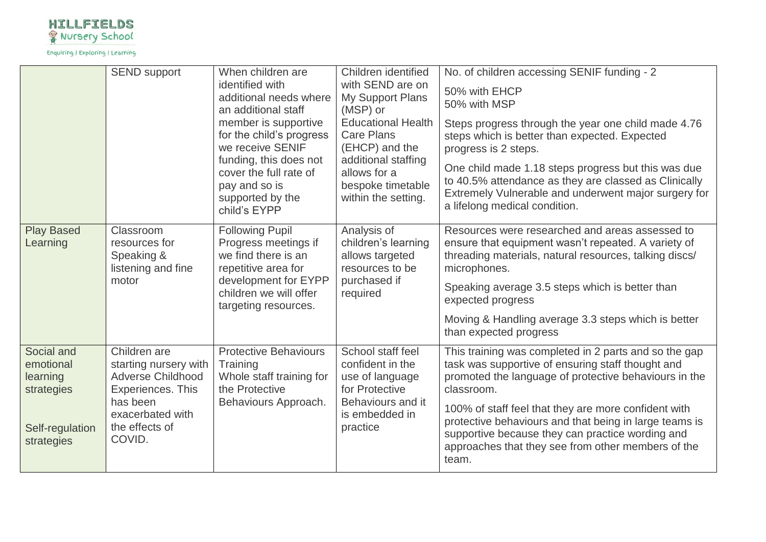

|                                                                                    | <b>SEND support</b>                                                                                                                                | When children are<br>identified with<br>additional needs where<br>an additional staff<br>member is supportive<br>for the child's progress<br>we receive SENIF<br>funding, this does not<br>cover the full rate of<br>pay and so is<br>supported by the | Children identified<br>with SEND are on<br>My Support Plans<br>(MSP) or<br><b>Educational Health</b><br><b>Care Plans</b><br>(EHCP) and the<br>additional staffing<br>allows for a<br>bespoke timetable<br>within the setting. | No. of children accessing SENIF funding - 2<br>50% with EHCP<br>50% with MSP<br>Steps progress through the year one child made 4.76<br>steps which is better than expected. Expected<br>progress is 2 steps.<br>One child made 1.18 steps progress but this was due<br>to 40.5% attendance as they are classed as Clinically<br>Extremely Vulnerable and underwent major surgery for                                   |
|------------------------------------------------------------------------------------|----------------------------------------------------------------------------------------------------------------------------------------------------|--------------------------------------------------------------------------------------------------------------------------------------------------------------------------------------------------------------------------------------------------------|--------------------------------------------------------------------------------------------------------------------------------------------------------------------------------------------------------------------------------|------------------------------------------------------------------------------------------------------------------------------------------------------------------------------------------------------------------------------------------------------------------------------------------------------------------------------------------------------------------------------------------------------------------------|
| <b>Play Based</b><br>Learning                                                      | Classroom<br>resources for<br>Speaking &<br>listening and fine<br>motor                                                                            | child's EYPP<br><b>Following Pupil</b><br>Progress meetings if<br>we find there is an<br>repetitive area for<br>development for EYPP<br>children we will offer<br>targeting resources.                                                                 | Analysis of<br>children's learning<br>allows targeted<br>resources to be<br>purchased if<br>required                                                                                                                           | a lifelong medical condition.<br>Resources were researched and areas assessed to<br>ensure that equipment wasn't repeated. A variety of<br>threading materials, natural resources, talking discs/<br>microphones.<br>Speaking average 3.5 steps which is better than<br>expected progress<br>Moving & Handling average 3.3 steps which is better<br>than expected progress                                             |
| Social and<br>emotional<br>learning<br>strategies<br>Self-regulation<br>strategies | Children are<br>starting nursery with<br><b>Adverse Childhood</b><br>Experiences. This<br>has been<br>exacerbated with<br>the effects of<br>COVID. | <b>Protective Behaviours</b><br>Training<br>Whole staff training for<br>the Protective<br>Behaviours Approach.                                                                                                                                         | School staff feel<br>confident in the<br>use of language<br>for Protective<br>Behaviours and it<br>is embedded in<br>practice                                                                                                  | This training was completed in 2 parts and so the gap<br>task was supportive of ensuring staff thought and<br>promoted the language of protective behaviours in the<br>classroom.<br>100% of staff feel that they are more confident with<br>protective behaviours and that being in large teams is<br>supportive because they can practice wording and<br>approaches that they see from other members of the<br>team. |